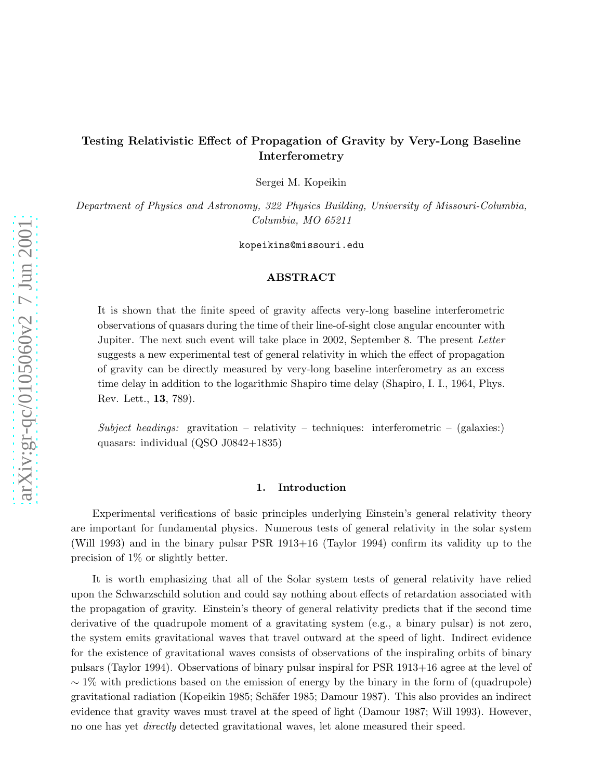# arXiv:gr-qc/0105060v2 7 Jun 2001 [arXiv:gr-qc/0105060v2 7 Jun 2001](http://arXiv.org/abs/gr-qc/0105060v2)

# Testing Relativistic Effect of Propagation of Gravity by Very-Long Baseline Interferometry

Sergei M. Kopeikin

Department of Physics and Astronomy, 322 Physics Building, University of Missouri-Columbia, Columbia, MO 65211

kopeikins@missouri.edu

# ABSTRACT

It is shown that the finite speed of gravity affects very-long baseline interferometric observations of quasars during the time of their line-of-sight close angular encounter with Jupiter. The next such event will take place in 2002, September 8. The present Letter suggests a new experimental test of general relativity in which the effect of propagation of gravity can be directly measured by very-long baseline interferometry as an excess time delay in addition to the logarithmic Shapiro time delay (Shapiro, I. I., 1964, Phys. Rev. Lett., 13, 789).

Subject headings: gravitation – relativity – techniques: interferometric – (galaxies:) quasars: individual (QSO J0842+1835)

### 1. Introduction

Experimental verifications of basic principles underlying Einstein's general relativity theory are important for fundamental physics. Numerous tests of general relativity in the solar system (Will 1993) and in the binary pulsar PSR 1913+16 (Taylor 1994) confirm its validity up to the precision of 1% or slightly better.

It is worth emphasizing that all of the Solar system tests of general relativity have relied upon the Schwarzschild solution and could say nothing about effects of retardation associated with the propagation of gravity. Einstein's theory of general relativity predicts that if the second time derivative of the quadrupole moment of a gravitating system (e.g., a binary pulsar) is not zero, the system emits gravitational waves that travel outward at the speed of light. Indirect evidence for the existence of gravitational waves consists of observations of the inspiraling orbits of binary pulsars (Taylor 1994). Observations of binary pulsar inspiral for PSR 1913+16 agree at the level of  $\sim$  1% with predictions based on the emission of energy by the binary in the form of (quadrupole) gravitational radiation (Kopeikin 1985; Schäfer 1985; Damour 1987). This also provides an indirect evidence that gravity waves must travel at the speed of light (Damour 1987; Will 1993). However, no one has yet directly detected gravitational waves, let alone measured their speed.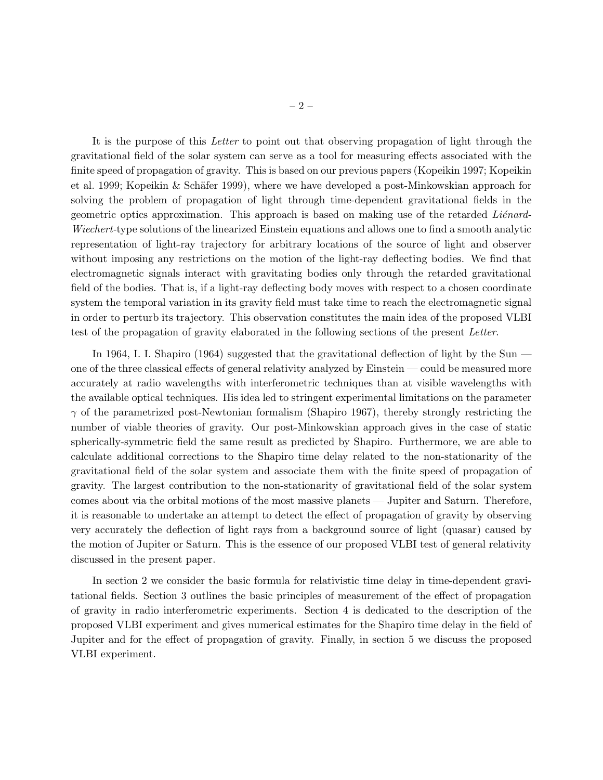It is the purpose of this Letter to point out that observing propagation of light through the gravitational field of the solar system can serve as a tool for measuring effects associated with the finite speed of propagation of gravity. This is based on our previous papers (Kopeikin 1997; Kopeikin et al. 1999; Kopeikin & Schäfer 1999), where we have developed a post-Minkowskian approach for solving the problem of propagation of light through time-dependent gravitational fields in the geometric optics approximation. This approach is based on making use of the retarded Liénard-Wiechert-type solutions of the linearized Einstein equations and allows one to find a smooth analytic representation of light-ray trajectory for arbitrary locations of the source of light and observer without imposing any restrictions on the motion of the light-ray deflecting bodies. We find that electromagnetic signals interact with gravitating bodies only through the retarded gravitational field of the bodies. That is, if a light-ray deflecting body moves with respect to a chosen coordinate system the temporal variation in its gravity field must take time to reach the electromagnetic signal in order to perturb its trajectory. This observation constitutes the main idea of the proposed VLBI test of the propagation of gravity elaborated in the following sections of the present Letter.

In 1964, I. I. Shapiro (1964) suggested that the gravitational deflection of light by the Sun one of the three classical effects of general relativity analyzed by Einstein — could be measured more accurately at radio wavelengths with interferometric techniques than at visible wavelengths with the available optical techniques. His idea led to stringent experimental limitations on the parameter  $\gamma$  of the parametrized post-Newtonian formalism (Shapiro 1967), thereby strongly restricting the number of viable theories of gravity. Our post-Minkowskian approach gives in the case of static spherically-symmetric field the same result as predicted by Shapiro. Furthermore, we are able to calculate additional corrections to the Shapiro time delay related to the non-stationarity of the gravitational field of the solar system and associate them with the finite speed of propagation of gravity. The largest contribution to the non-stationarity of gravitational field of the solar system comes about via the orbital motions of the most massive planets — Jupiter and Saturn. Therefore, it is reasonable to undertake an attempt to detect the effect of propagation of gravity by observing very accurately the deflection of light rays from a background source of light (quasar) caused by the motion of Jupiter or Saturn. This is the essence of our proposed VLBI test of general relativity discussed in the present paper.

In section 2 we consider the basic formula for relativistic time delay in time-dependent gravitational fields. Section 3 outlines the basic principles of measurement of the effect of propagation of gravity in radio interferometric experiments. Section 4 is dedicated to the description of the proposed VLBI experiment and gives numerical estimates for the Shapiro time delay in the field of Jupiter and for the effect of propagation of gravity. Finally, in section 5 we discuss the proposed VLBI experiment.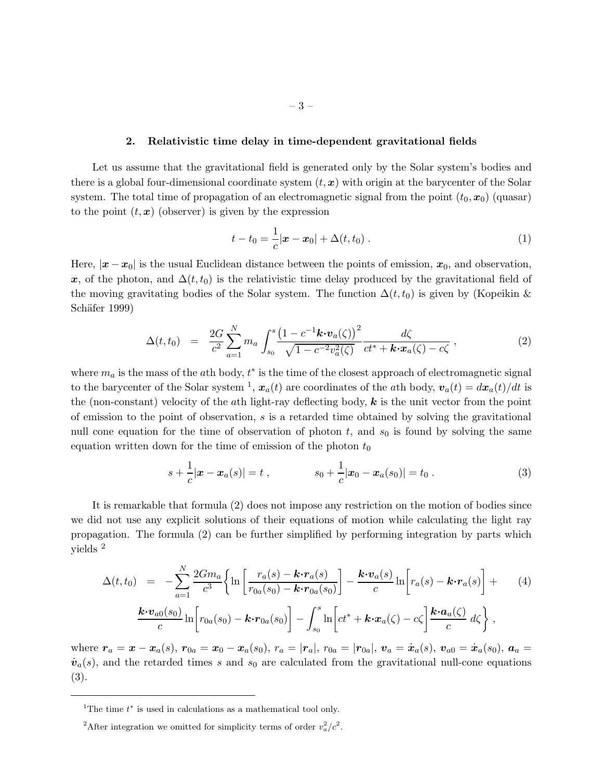### 2. Relativistic time delay in time-dependent gravitational fields

Let us assume that the gravitational field is generated only by the Solar system's bodies and there is a global four-dimensional coordinate system  $(t, x)$  with origin at the barycenter of the Solar system. The total time of propagation of an electromagnetic signal from the point  $(t_0, x_0)$  (quasar) to the point  $(t, x)$  (observer) is given by the expression

$$
t - t_0 = \frac{1}{c} |\boldsymbol{x} - \boldsymbol{x}_0| + \Delta(t, t_0).
$$
 (1)

Here,  $|x-x_0|$  is the usual Euclidean distance between the points of emission,  $x_0$ , and observation, x, of the photon, and  $\Delta(t, t_0)$  is the relativistic time delay produced by the gravitational field of the moving gravitating bodies of the Solar system. The function  $\Delta(t, t_0)$  is given by (Kopeikin & Schäfer 1999)

$$
\Delta(t, t_0) = \frac{2G}{c^2} \sum_{a=1}^{N} m_a \int_{s_0}^{s} \frac{\left(1 - c^{-1} \mathbf{k} \cdot \mathbf{v}_a(\zeta)\right)^2}{\sqrt{1 - c^{-2} v_a^2(\zeta)}} \frac{d\zeta}{ct^* + \mathbf{k} \cdot \mathbf{x}_a(\zeta) - c\zeta}, \qquad (2)
$$

where  $m_a$  is the mass of the ath body,  $t^*$  is the time of the closest approach of electromagnetic signal to the barycenter of the Solar system <sup>1</sup>,  $\mathbf{x}_a(t)$  are coordinates of the *a*th body,  $\mathbf{v}_a(t) = d\mathbf{x}_a(t)/dt$  is the (non-constant) velocity of the ath light-ray deflecting body,  $k$  is the unit vector from the point of emission to the point of observation, s is a retarded time obtained by solving the gravitational null cone equation for the time of observation of photon  $t$ , and  $s<sub>0</sub>$  is found by solving the same equation written down for the time of emission of the photon  $t_0$ 

$$
s + \frac{1}{c} |\boldsymbol{x} - \boldsymbol{x}_a(s)| = t , \qquad s_0 + \frac{1}{c} |\boldsymbol{x}_0 - \boldsymbol{x}_a(s_0)| = t_0 . \qquad (3)
$$

It is remarkable that formula (2) does not impose any restriction on the motion of bodies since we did not use any explicit solutions of their equations of motion while calculating the light ray propagation. The formula (2) can be further simplified by performing integration by parts which yields <sup>2</sup>

$$
\Delta(t,t_0) = -\sum_{a=1}^{N} \frac{2Gm_a}{c^3} \left\{ \ln \left[ \frac{r_a(s) - \mathbf{k} \cdot r_a(s)}{r_{0a}(s_0) - \mathbf{k} \cdot r_{0a}(s_0)} \right] - \frac{\mathbf{k} \cdot v_a(s)}{c} \ln \left[ r_a(s) - \mathbf{k} \cdot r_a(s) \right] +
$$
\n
$$
\frac{\mathbf{k} \cdot v_{a0}(s_0)}{c} \ln \left[ r_{0a}(s_0) - \mathbf{k} \cdot r_{0a}(s_0) \right] - \int_{s_0}^{s} \ln \left[ ct^* + \mathbf{k} \cdot x_a(\zeta) - c\zeta \right] \frac{\mathbf{k} \cdot a_a(\zeta)}{c} d\zeta \right\},
$$
\n(4)

where  $r_a = x - x_a(s)$ ,  $r_{0a} = x_0 - x_a(s_0)$ ,  $r_a = |r_a|$ ,  $r_{0a} = |r_{0a}|$ ,  $v_a = \dot{x}_a(s)$ ,  $v_{a0} = \dot{x}_a(s_0)$ ,  $a_a =$  $\dot{v}_a(s)$ , and the retarded times s and s<sub>0</sub> are calculated from the gravitational null-cone equations (3).

<sup>&</sup>lt;sup>1</sup>The time  $t^*$  is used in calculations as a mathematical tool only.

<sup>&</sup>lt;sup>2</sup>After integration we omitted for simplicity terms of order  $v_a^2/c^2$ .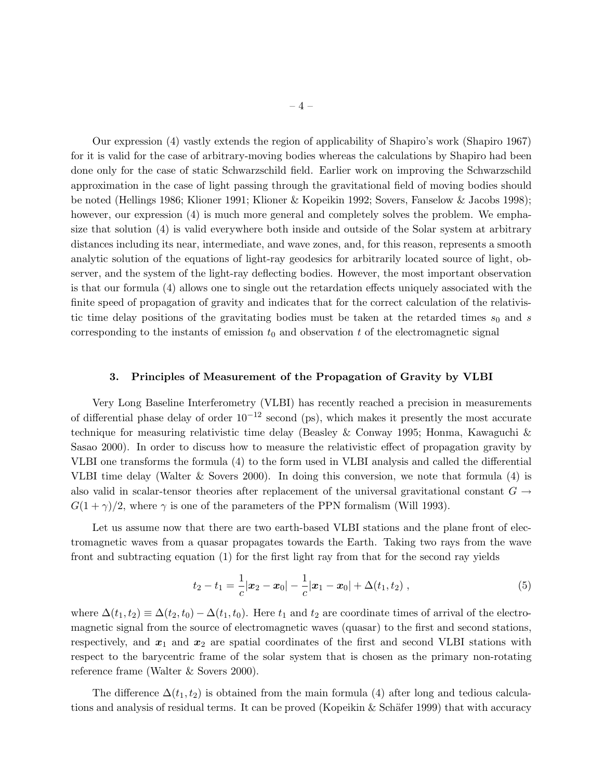Our expression (4) vastly extends the region of applicability of Shapiro's work (Shapiro 1967) for it is valid for the case of arbitrary-moving bodies whereas the calculations by Shapiro had been done only for the case of static Schwarzschild field. Earlier work on improving the Schwarzschild approximation in the case of light passing through the gravitational field of moving bodies should be noted (Hellings 1986; Klioner 1991; Klioner & Kopeikin 1992; Sovers, Fanselow & Jacobs 1998); however, our expression (4) is much more general and completely solves the problem. We emphasize that solution (4) is valid everywhere both inside and outside of the Solar system at arbitrary distances including its near, intermediate, and wave zones, and, for this reason, represents a smooth analytic solution of the equations of light-ray geodesics for arbitrarily located source of light, observer, and the system of the light-ray deflecting bodies. However, the most important observation is that our formula (4) allows one to single out the retardation effects uniquely associated with the finite speed of propagation of gravity and indicates that for the correct calculation of the relativistic time delay positions of the gravitating bodies must be taken at the retarded times  $s_0$  and s corresponding to the instants of emission  $t_0$  and observation t of the electromagnetic signal

### 3. Principles of Measurement of the Propagation of Gravity by VLBI

Very Long Baseline Interferometry (VLBI) has recently reached a precision in measurements of differential phase delay of order  $10^{-12}$  second (ps), which makes it presently the most accurate technique for measuring relativistic time delay (Beasley & Conway 1995; Honma, Kawaguchi & Sasao 2000). In order to discuss how to measure the relativistic effect of propagation gravity by VLBI one transforms the formula (4) to the form used in VLBI analysis and called the differential VLBI time delay (Walter & Sovers 2000). In doing this conversion, we note that formula (4) is also valid in scalar-tensor theories after replacement of the universal gravitational constant  $G \rightarrow$  $G(1 + \gamma)/2$ , where  $\gamma$  is one of the parameters of the PPN formalism (Will 1993).

Let us assume now that there are two earth-based VLBI stations and the plane front of electromagnetic waves from a quasar propagates towards the Earth. Taking two rays from the wave front and subtracting equation (1) for the first light ray from that for the second ray yields

$$
t_2 - t_1 = \frac{1}{c} |\boldsymbol{x}_2 - \boldsymbol{x}_0| - \frac{1}{c} |\boldsymbol{x}_1 - \boldsymbol{x}_0| + \Delta(t_1, t_2) , \qquad (5)
$$

where  $\Delta(t_1, t_2) \equiv \Delta(t_2, t_0) - \Delta(t_1, t_0)$ . Here  $t_1$  and  $t_2$  are coordinate times of arrival of the electromagnetic signal from the source of electromagnetic waves (quasar) to the first and second stations, respectively, and  $x_1$  and  $x_2$  are spatial coordinates of the first and second VLBI stations with respect to the barycentric frame of the solar system that is chosen as the primary non-rotating reference frame (Walter & Sovers 2000).

The difference  $\Delta(t_1, t_2)$  is obtained from the main formula (4) after long and tedious calculations and analysis of residual terms. It can be proved (Kopeikin  $&$  Schäfer 1999) that with accuracy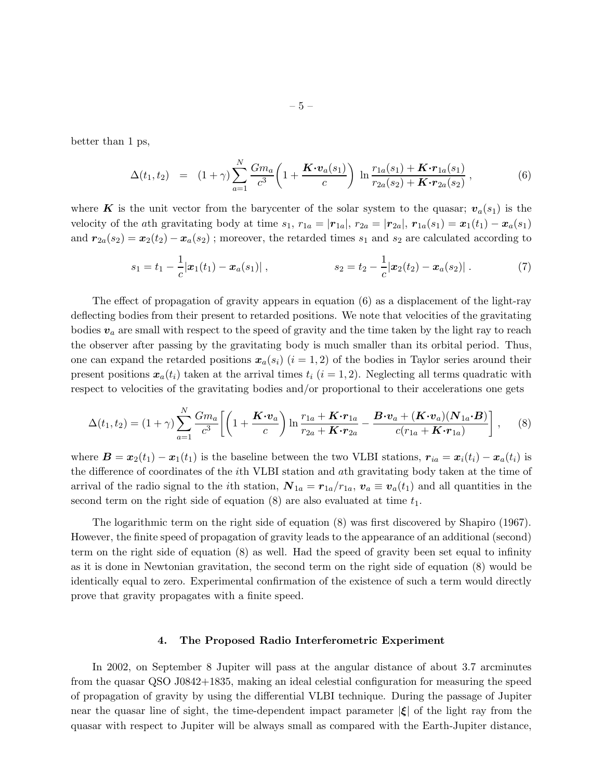better than 1 ps,

$$
\Delta(t_1, t_2) = (1 + \gamma) \sum_{a=1}^{N} \frac{Gm_a}{c^3} \left( 1 + \frac{K \cdot v_a(s_1)}{c} \right) \ln \frac{r_{1a}(s_1) + K \cdot r_{1a}(s_1)}{r_{2a}(s_2) + K \cdot r_{2a}(s_2)}, \tag{6}
$$

where K is the unit vector from the barycenter of the solar system to the quasar;  $v_a(s_1)$  is the velocity of the ath gravitating body at time  $s_1$ ,  $r_{1a} = |\mathbf{r}_{1a}|$ ,  $r_{2a} = |\mathbf{r}_{2a}|$ ,  $\mathbf{r}_{1a}(s_1) = \mathbf{x}_1(t_1) - \mathbf{x}_a(s_1)$ and  $r_{2a}(s_2) = x_2(t_2) - x_a(s_2)$ ; moreover, the retarded times  $s_1$  and  $s_2$  are calculated according to

$$
s_1 = t_1 - \frac{1}{c} |\boldsymbol{x}_1(t_1) - \boldsymbol{x}_a(s_1)| \,, \qquad \qquad s_2 = t_2 - \frac{1}{c} |\boldsymbol{x}_2(t_2) - \boldsymbol{x}_a(s_2)| \,. \tag{7}
$$

The effect of propagation of gravity appears in equation (6) as a displacement of the light-ray deflecting bodies from their present to retarded positions. We note that velocities of the gravitating bodies  $v_a$  are small with respect to the speed of gravity and the time taken by the light ray to reach the observer after passing by the gravitating body is much smaller than its orbital period. Thus, one can expand the retarded positions  $x_a(s_i)$   $(i = 1, 2)$  of the bodies in Taylor series around their present positions  $x_a(t_i)$  taken at the arrival times  $t_i$   $(i = 1, 2)$ . Neglecting all terms quadratic with respect to velocities of the gravitating bodies and/or proportional to their accelerations one gets

$$
\Delta(t_1, t_2) = (1 + \gamma) \sum_{a=1}^{N} \frac{Gm_a}{c^3} \left[ \left( 1 + \frac{\mathbf{K} \cdot \mathbf{v}_a}{c} \right) \ln \frac{r_{1a} + \mathbf{K} \cdot r_{1a}}{r_{2a} + \mathbf{K} \cdot r_{2a}} - \frac{\mathbf{B} \cdot \mathbf{v}_a + (\mathbf{K} \cdot \mathbf{v}_a)(\mathbf{N}_{1a} \cdot \mathbf{B})}{c(r_{1a} + \mathbf{K} \cdot r_{1a})} \right], \quad (8)
$$

where  $\mathbf{B} = \mathbf{x}_2(t_1) - \mathbf{x}_1(t_1)$  is the baseline between the two VLBI stations,  $\mathbf{r}_{ia} = \mathbf{x}_i(t_i) - \mathbf{x}_a(t_i)$  is the difference of coordinates of the ith VLBI station and ath gravitating body taken at the time of arrival of the radio signal to the *i*th station,  $\mathbf{N}_{1a} = \mathbf{r}_{1a}/r_{1a}$ ,  $\mathbf{v}_a \equiv \mathbf{v}_a(t_1)$  and all quantities in the second term on the right side of equation (8) are also evaluated at time  $t_1$ .

The logarithmic term on the right side of equation (8) was first discovered by Shapiro (1967). However, the finite speed of propagation of gravity leads to the appearance of an additional (second) term on the right side of equation (8) as well. Had the speed of gravity been set equal to infinity as it is done in Newtonian gravitation, the second term on the right side of equation (8) would be identically equal to zero. Experimental confirmation of the existence of such a term would directly prove that gravity propagates with a finite speed.

### 4. The Proposed Radio Interferometric Experiment

In 2002, on September 8 Jupiter will pass at the angular distance of about 3.7 arcminutes from the quasar QSO J0842+1835, making an ideal celestial configuration for measuring the speed of propagation of gravity by using the differential VLBI technique. During the passage of Jupiter near the quasar line of sight, the time-dependent impact parameter  $|\xi|$  of the light ray from the quasar with respect to Jupiter will be always small as compared with the Earth-Jupiter distance,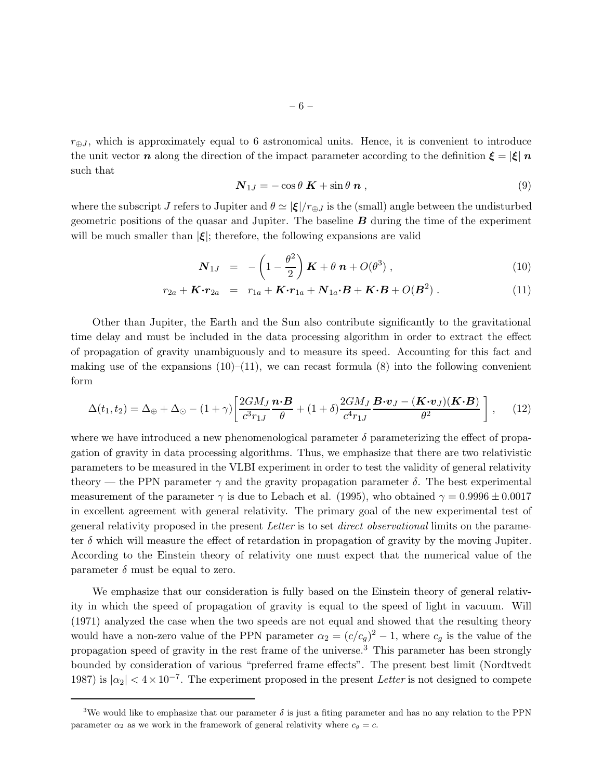$r_{\oplus J}$ , which is approximately equal to 6 astronomical units. Hence, it is convenient to introduce the unit vector n along the direction of the impact parameter according to the definition  $\xi = |\xi| n$ such that

$$
\mathbf{N}_{1J} = -\cos\theta \ \mathbf{K} + \sin\theta \ \mathbf{n} \ , \tag{9}
$$

where the subscript J refers to Jupiter and  $\theta \simeq |\xi|/r_{\oplus J}$  is the (small) angle between the undisturbed geometric positions of the quasar and Jupiter. The baseline  $\boldsymbol{B}$  during the time of the experiment will be much smaller than  $|\xi|$ ; therefore, the following expansions are valid

$$
\mathbf{N}_{1J} = -\left(1 - \frac{\theta^2}{2}\right)\mathbf{K} + \theta \mathbf{n} + O(\theta^3) , \qquad (10)
$$

$$
r_{2a} + \mathbf{K} \cdot \mathbf{r}_{2a} = r_{1a} + \mathbf{K} \cdot \mathbf{r}_{1a} + \mathbf{N}_{1a} \cdot \mathbf{B} + \mathbf{K} \cdot \mathbf{B} + O(\mathbf{B}^2) \,. \tag{11}
$$

Other than Jupiter, the Earth and the Sun also contribute significantly to the gravitational time delay and must be included in the data processing algorithm in order to extract the effect of propagation of gravity unambiguously and to measure its speed. Accounting for this fact and making use of the expansions  $(10)$ – $(11)$ , we can recast formula (8) into the following convenient form

$$
\Delta(t_1, t_2) = \Delta_{\oplus} + \Delta_{\odot} - (1 + \gamma) \left[ \frac{2GM_J}{c^3 r_{1J}} \frac{\boldsymbol{n} \cdot \boldsymbol{B}}{\theta} + (1 + \delta) \frac{2GM_J}{c^4 r_{1J}} \frac{\boldsymbol{B} \cdot \boldsymbol{v}_J - (\boldsymbol{K} \cdot \boldsymbol{v}_J)(\boldsymbol{K} \cdot \boldsymbol{B})}{\theta^2} \right], \quad (12)
$$

where we have introduced a new phenomenological parameter  $\delta$  parameterizing the effect of propagation of gravity in data processing algorithms. Thus, we emphasize that there are two relativistic parameters to be measured in the VLBI experiment in order to test the validity of general relativity theory — the PPN parameter  $\gamma$  and the gravity propagation parameter  $\delta$ . The best experimental measurement of the parameter  $\gamma$  is due to Lebach et al. (1995), who obtained  $\gamma = 0.9996 \pm 0.0017$ in excellent agreement with general relativity. The primary goal of the new experimental test of general relativity proposed in the present Letter is to set direct observational limits on the parameter  $\delta$  which will measure the effect of retardation in propagation of gravity by the moving Jupiter. According to the Einstein theory of relativity one must expect that the numerical value of the parameter  $\delta$  must be equal to zero.

We emphasize that our consideration is fully based on the Einstein theory of general relativity in which the speed of propagation of gravity is equal to the speed of light in vacuum. Will (1971) analyzed the case when the two speeds are not equal and showed that the resulting theory would have a non-zero value of the PPN parameter  $\alpha_2 = (c/c_g)^2 - 1$ , where  $c_g$  is the value of the propagation speed of gravity in the rest frame of the universe.<sup>3</sup> This parameter has been strongly bounded by consideration of various "preferred frame effects". The present best limit (Nordtvedt 1987) is  $|\alpha_2| < 4 \times 10^{-7}$ . The experiment proposed in the present Letter is not designed to compete

<sup>&</sup>lt;sup>3</sup>We would like to emphasize that our parameter  $\delta$  is just a fiting parameter and has no any relation to the PPN parameter  $\alpha_2$  as we work in the framework of general relativity where  $c_g = c$ .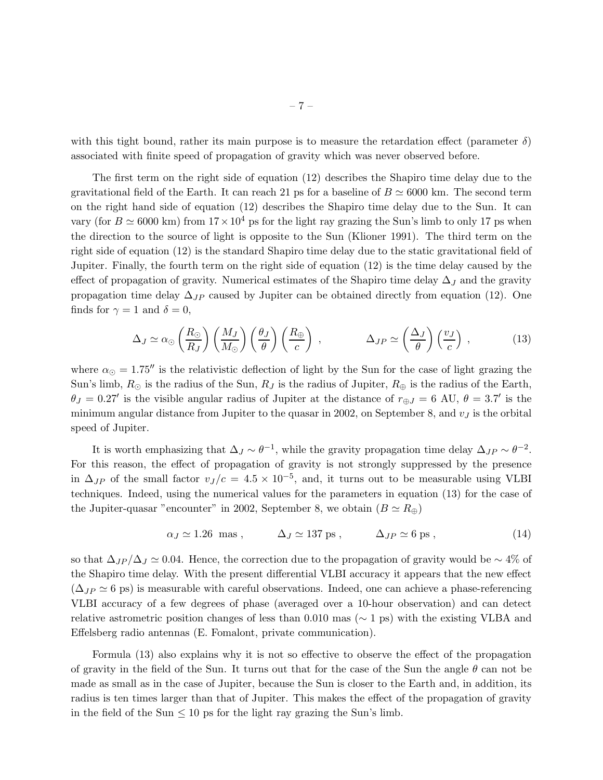with this tight bound, rather its main purpose is to measure the retardation effect (parameter  $\delta$ ) associated with finite speed of propagation of gravity which was never observed before.

The first term on the right side of equation (12) describes the Shapiro time delay due to the gravitational field of the Earth. It can reach 21 ps for a baseline of  $B \simeq 6000$  km. The second term on the right hand side of equation (12) describes the Shapiro time delay due to the Sun. It can vary (for  $B \simeq 6000$  km) from  $17 \times 10^4$  ps for the light ray grazing the Sun's limb to only 17 ps when the direction to the source of light is opposite to the Sun (Klioner 1991). The third term on the right side of equation (12) is the standard Shapiro time delay due to the static gravitational field of Jupiter. Finally, the fourth term on the right side of equation (12) is the time delay caused by the effect of propagation of gravity. Numerical estimates of the Shapiro time delay  $\Delta_J$  and the gravity propagation time delay  $\Delta_{JP}$  caused by Jupiter can be obtained directly from equation (12). One finds for  $\gamma = 1$  and  $\delta = 0$ ,

$$
\Delta_J \simeq \alpha_{\odot} \left(\frac{R_{\odot}}{R_J}\right) \left(\frac{M_J}{M_{\odot}}\right) \left(\frac{\theta_J}{\theta}\right) \left(\frac{R_{\oplus}}{c}\right) , \qquad \Delta_{JP} \simeq \left(\frac{\Delta_J}{\theta}\right) \left(\frac{v_J}{c}\right) , \qquad (13)
$$

where  $\alpha_{\odot} = 1.75''$  is the relativistic deflection of light by the Sun for the case of light grazing the Sun's limb,  $R_{\odot}$  is the radius of the Sun,  $R_J$  is the radius of Jupiter,  $R_{\oplus}$  is the radius of the Earth,  $\theta_J = 0.27'$  is the visible angular radius of Jupiter at the distance of  $r_{\oplus J} = 6$  AU,  $\theta = 3.7'$  is the minimum angular distance from Jupiter to the quasar in 2002, on September 8, and  $v<sub>J</sub>$  is the orbital speed of Jupiter.

It is worth emphasizing that  $\Delta_J \sim \theta^{-1}$ , while the gravity propagation time delay  $\Delta_{JP} \sim \theta^{-2}$ . For this reason, the effect of propagation of gravity is not strongly suppressed by the presence in  $\Delta_{JP}$  of the small factor  $v_J/c = 4.5 \times 10^{-5}$ , and, it turns out to be measurable using VLBI techniques. Indeed, using the numerical values for the parameters in equation (13) for the case of the Jupiter-quasar "encounter" in 2002, September 8, we obtain  $(B \simeq R_{\oplus})$ 

$$
\alpha_J \simeq 1.26 \text{ mas}, \qquad \Delta_J \simeq 137 \text{ ps}, \qquad \Delta_{JP} \simeq 6 \text{ ps}, \qquad (14)
$$

so that  $\Delta_{JP}/\Delta_J \simeq 0.04$ . Hence, the correction due to the propagation of gravity would be ~ 4% of the Shapiro time delay. With the present differential VLBI accuracy it appears that the new effect  $(\Delta_{JP} \simeq 6 \text{ ps})$  is measurable with careful observations. Indeed, one can achieve a phase-referencing VLBI accuracy of a few degrees of phase (averaged over a 10-hour observation) and can detect relative astrometric position changes of less than 0.010 mas ( $\sim$  1 ps) with the existing VLBA and Effelsberg radio antennas (E. Fomalont, private communication).

Formula (13) also explains why it is not so effective to observe the effect of the propagation of gravity in the field of the Sun. It turns out that for the case of the Sun the angle  $\theta$  can not be made as small as in the case of Jupiter, because the Sun is closer to the Earth and, in addition, its radius is ten times larger than that of Jupiter. This makes the effect of the propagation of gravity in the field of the Sun  $\leq 10$  ps for the light ray grazing the Sun's limb.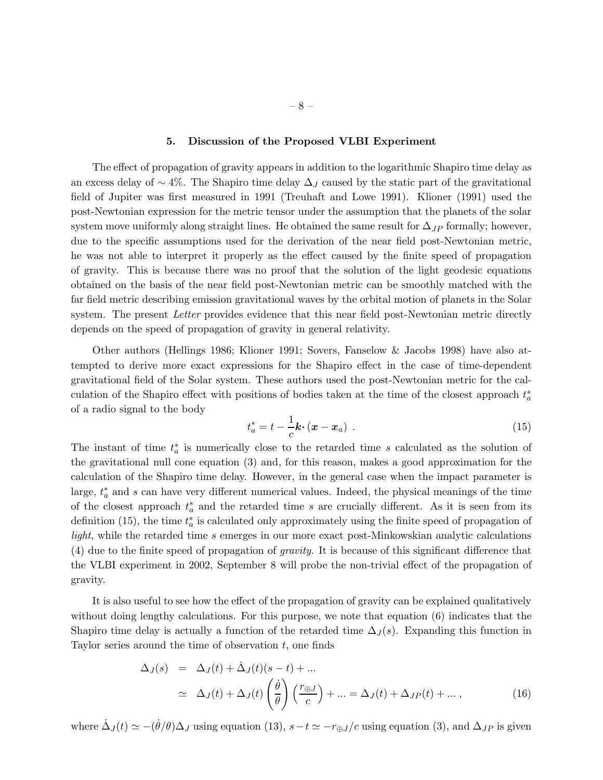# 5. Discussion of the Proposed VLBI Experiment

The effect of propagation of gravity appears in addition to the logarithmic Shapiro time delay as an excess delay of  $\sim$  4%. The Shapiro time delay  $\Delta_J$  caused by the static part of the gravitational field of Jupiter was first measured in 1991 (Treuhaft and Lowe 1991). Klioner (1991) used the post-Newtonian expression for the metric tensor under the assumption that the planets of the solar system move uniformly along straight lines. He obtained the same result for  $\Delta_{JP}$  formally; however, due to the specific assumptions used for the derivation of the near field post-Newtonian metric, he was not able to interpret it properly as the effect caused by the finite speed of propagation of gravity. This is because there was no proof that the solution of the light geodesic equations obtained on the basis of the near field post-Newtonian metric can be smoothly matched with the far field metric describing emission gravitational waves by the orbital motion of planets in the Solar system. The present *Letter* provides evidence that this near field post-Newtonian metric directly depends on the speed of propagation of gravity in general relativity.

Other authors (Hellings 1986; Klioner 1991; Sovers, Fanselow & Jacobs 1998) have also attempted to derive more exact expressions for the Shapiro effect in the case of time-dependent gravitational field of the Solar system. These authors used the post-Newtonian metric for the calculation of the Shapiro effect with positions of bodies taken at the time of the closest approach  $t_a^*$ of a radio signal to the body

$$
t_a^* = t - \frac{1}{c} \mathbf{k} \cdot (\mathbf{x} - \mathbf{x}_a) \tag{15}
$$

The instant of time  $t_a^*$  is numerically close to the retarded time s calculated as the solution of the gravitational null cone equation (3) and, for this reason, makes a good approximation for the calculation of the Shapiro time delay. However, in the general case when the impact parameter is large,  $t_a^*$  and s can have very different numerical values. Indeed, the physical meanings of the time of the closest approach  $t_a^*$  and the retarded time s are crucially different. As it is seen from its definition (15), the time  $t_a^*$  is calculated only approximately using the finite speed of propagation of light, while the retarded time s emerges in our more exact post-Minkowskian analytic calculations (4) due to the finite speed of propagation of gravity. It is because of this significant difference that the VLBI experiment in 2002, September 8 will probe the non-trivial effect of the propagation of gravity.

It is also useful to see how the effect of the propagation of gravity can be explained qualitatively without doing lengthy calculations. For this purpose, we note that equation (6) indicates that the Shapiro time delay is actually a function of the retarded time  $\Delta_J(s)$ . Expanding this function in Taylor series around the time of observation  $t$ , one finds

$$
\Delta_J(s) = \Delta_J(t) + \dot{\Delta}_J(t)(s - t) + \dots
$$
\n
$$
\simeq \Delta_J(t) + \Delta_J(t) \left(\frac{\dot{\theta}}{\theta}\right) \left(\frac{r_{\oplus J}}{c}\right) + \dots = \Delta_J(t) + \Delta_{JP}(t) + \dots, \tag{16}
$$

where  $\dot{\Delta}_J(t) \simeq -(\dot{\theta}/\theta) \Delta_J$  using equation (13),  $s-t \simeq -r_{\oplus J}/c$  using equation (3), and  $\Delta_{JP}$  is given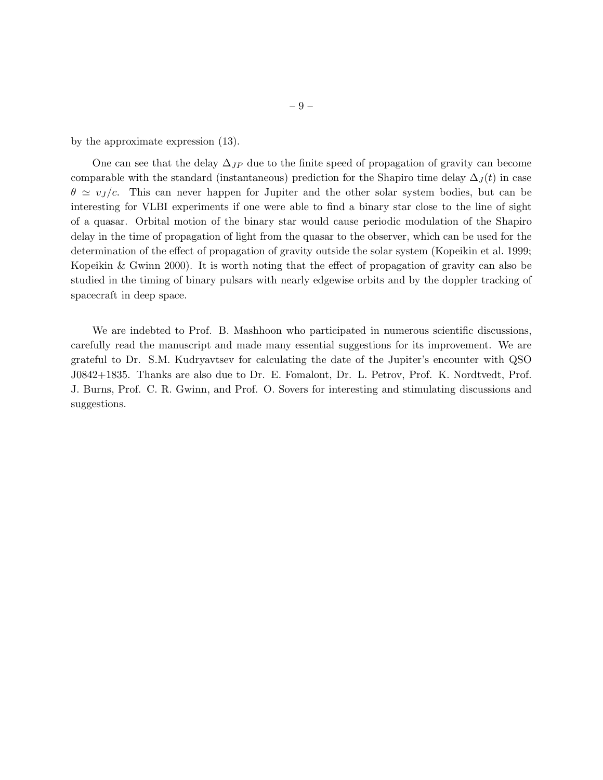by the approximate expression (13).

One can see that the delay  $\Delta_{JP}$  due to the finite speed of propagation of gravity can become comparable with the standard (instantaneous) prediction for the Shapiro time delay  $\Delta_J(t)$  in case  $\theta \simeq v_J/c$ . This can never happen for Jupiter and the other solar system bodies, but can be interesting for VLBI experiments if one were able to find a binary star close to the line of sight of a quasar. Orbital motion of the binary star would cause periodic modulation of the Shapiro delay in the time of propagation of light from the quasar to the observer, which can be used for the determination of the effect of propagation of gravity outside the solar system (Kopeikin et al. 1999; Kopeikin & Gwinn 2000). It is worth noting that the effect of propagation of gravity can also be studied in the timing of binary pulsars with nearly edgewise orbits and by the doppler tracking of spacecraft in deep space.

We are indebted to Prof. B. Mashhoon who participated in numerous scientific discussions, carefully read the manuscript and made many essential suggestions for its improvement. We are grateful to Dr. S.M. Kudryavtsev for calculating the date of the Jupiter's encounter with QSO J0842+1835. Thanks are also due to Dr. E. Fomalont, Dr. L. Petrov, Prof. K. Nordtvedt, Prof. J. Burns, Prof. C. R. Gwinn, and Prof. O. Sovers for interesting and stimulating discussions and suggestions.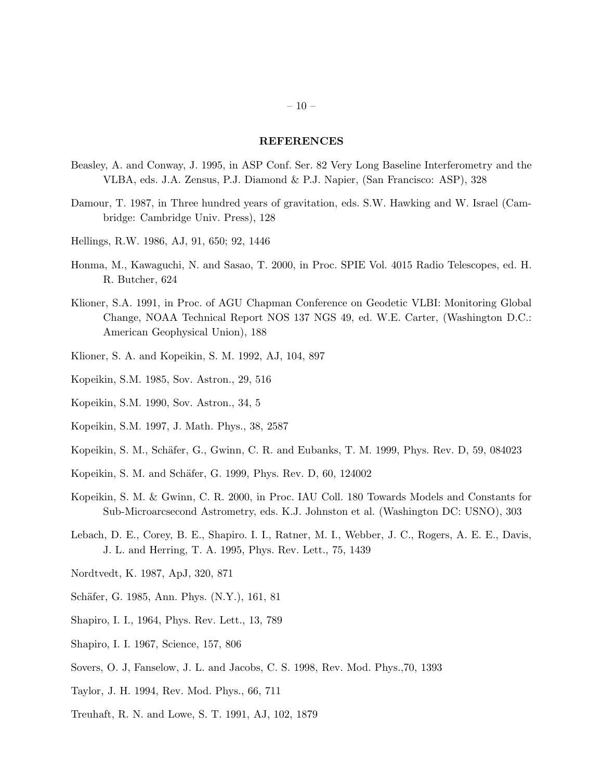### REFERENCES

- Beasley, A. and Conway, J. 1995, in ASP Conf. Ser. 82 Very Long Baseline Interferometry and the VLBA, eds. J.A. Zensus, P.J. Diamond & P.J. Napier, (San Francisco: ASP), 328
- Damour, T. 1987, in Three hundred years of gravitation, eds. S.W. Hawking and W. Israel (Cambridge: Cambridge Univ. Press), 128
- Hellings, R.W. 1986, AJ, 91, 650; 92, 1446
- Honma, M., Kawaguchi, N. and Sasao, T. 2000, in Proc. SPIE Vol. 4015 Radio Telescopes, ed. H. R. Butcher, 624
- Klioner, S.A. 1991, in Proc. of AGU Chapman Conference on Geodetic VLBI: Monitoring Global Change, NOAA Technical Report NOS 137 NGS 49, ed. W.E. Carter, (Washington D.C.: American Geophysical Union), 188
- Klioner, S. A. and Kopeikin, S. M. 1992, AJ, 104, 897
- Kopeikin, S.M. 1985, Sov. Astron., 29, 516
- Kopeikin, S.M. 1990, Sov. Astron., 34, 5
- Kopeikin, S.M. 1997, J. Math. Phys., 38, 2587
- Kopeikin, S. M., Schäfer, G., Gwinn, C. R. and Eubanks, T. M. 1999, Phys. Rev. D, 59, 084023
- Kopeikin, S. M. and Schäfer, G. 1999, Phys. Rev. D, 60, 124002
- Kopeikin, S. M. & Gwinn, C. R. 2000, in Proc. IAU Coll. 180 Towards Models and Constants for Sub-Microarcsecond Astrometry, eds. K.J. Johnston et al. (Washington DC: USNO), 303
- Lebach, D. E., Corey, B. E., Shapiro. I. I., Ratner, M. I., Webber, J. C., Rogers, A. E. E., Davis, J. L. and Herring, T. A. 1995, Phys. Rev. Lett., 75, 1439
- Nordtvedt, K. 1987, ApJ, 320, 871
- Schäfer, G. 1985, Ann. Phys. (N.Y.), 161, 81
- Shapiro, I. I., 1964, Phys. Rev. Lett., 13, 789
- Shapiro, I. I. 1967, Science, 157, 806
- Sovers, O. J, Fanselow, J. L. and Jacobs, C. S. 1998, Rev. Mod. Phys.,70, 1393
- Taylor, J. H. 1994, Rev. Mod. Phys., 66, 711
- Treuhaft, R. N. and Lowe, S. T. 1991, AJ, 102, 1879